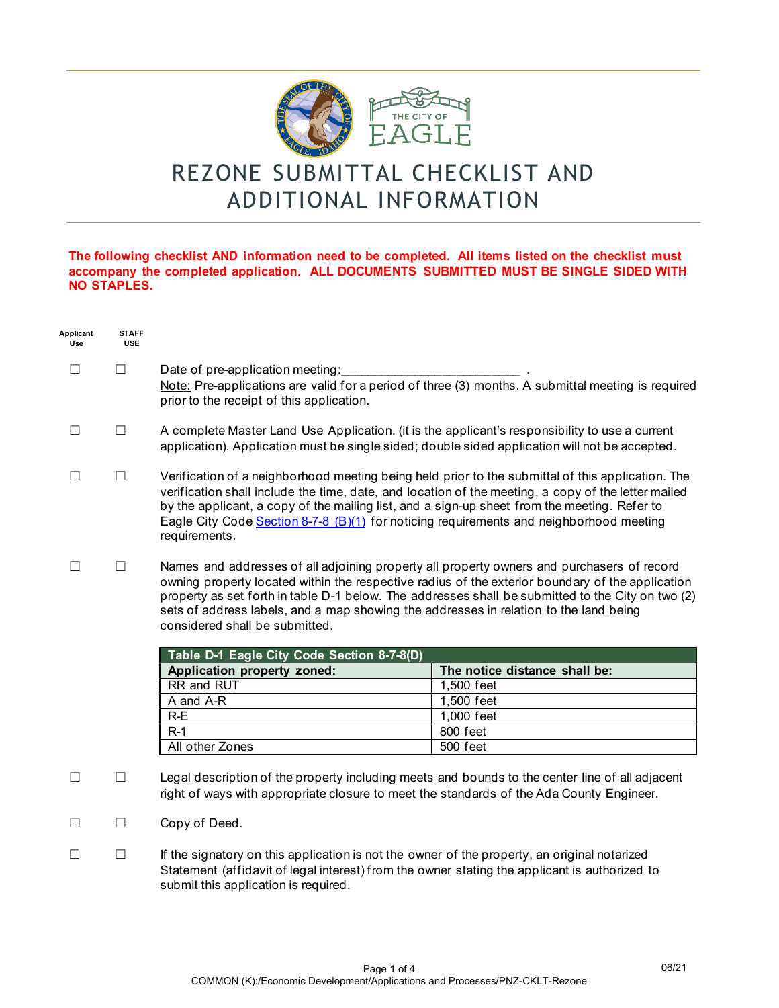

## REZONE SUBMITTAL CHECKLIST AND ADDITIONAL INFORMATION

## **The following checklist AND information need to be completed. All items listed on the checklist must accompany the completed application. ALL DOCUMENTS SUBMITTED MUST BE SINGLE SIDED WITH NO STAPLES.**

| Applicant<br>Use | <b>STAFF</b><br><b>USE</b> |                                                                                                                                                                                                                                                                                                                                                                                                                                                                              |                               |  |
|------------------|----------------------------|------------------------------------------------------------------------------------------------------------------------------------------------------------------------------------------------------------------------------------------------------------------------------------------------------------------------------------------------------------------------------------------------------------------------------------------------------------------------------|-------------------------------|--|
| $\Box$           | $\Box$                     | Date of pre-application meeting:<br>Note: Pre-applications are valid for a period of three (3) months. A submittal meeting is required<br>prior to the receipt of this application.                                                                                                                                                                                                                                                                                          |                               |  |
| $\Box$           | $\Box$                     | A complete Master Land Use Application. (it is the applicant's responsibility to use a current<br>application). Application must be single sided; double sided application will not be accepted.                                                                                                                                                                                                                                                                             |                               |  |
| $\perp$          | $\Box$                     | Verification of a neighborhood meeting being held prior to the submittal of this application. The<br>verification shall include the time, date, and location of the meeting, a copy of the letter mailed<br>by the applicant, a copy of the mailing list, and a sign-up sheet from the meeting. Refer to<br>Eagle City Code Section 8-7-8 (B)(1) for noticing requirements and neighborhood meeting<br>requirements.                                                         |                               |  |
|                  | $\Box$                     | Names and addresses of all adjoining property all property owners and purchasers of record<br>owning property located within the respective radius of the exterior boundary of the application<br>property as set forth in table D-1 below. The addresses shall be submitted to the City on two (2)<br>sets of address labels, and a map showing the addresses in relation to the land being<br>considered shall be submitted.<br>Table D-1 Eagle City Code Section 8-7-8(D) |                               |  |
|                  |                            |                                                                                                                                                                                                                                                                                                                                                                                                                                                                              |                               |  |
|                  |                            | Application property zoned:                                                                                                                                                                                                                                                                                                                                                                                                                                                  | The notice distance shall be: |  |
|                  |                            | RR and RUT                                                                                                                                                                                                                                                                                                                                                                                                                                                                   | 1,500 feet                    |  |
|                  |                            | A and A-R                                                                                                                                                                                                                                                                                                                                                                                                                                                                    | 1,500 feet                    |  |
|                  |                            | $R-E$                                                                                                                                                                                                                                                                                                                                                                                                                                                                        | 1,000 feet                    |  |
|                  |                            | $R-1$                                                                                                                                                                                                                                                                                                                                                                                                                                                                        | 800 feet                      |  |
|                  |                            | All other Zones                                                                                                                                                                                                                                                                                                                                                                                                                                                              | 500 feet                      |  |
| $\Box$           | $\Box$                     | Legal description of the property including meets and bounds to the center line of all adjacent<br>right of ways with appropriate closure to meet the standards of the Ada County Engineer.                                                                                                                                                                                                                                                                                  |                               |  |
| $\perp$          | ப                          | Copy of Deed.                                                                                                                                                                                                                                                                                                                                                                                                                                                                |                               |  |

☐ ☐ If the signatory on this application is not the owner of the property, an original notarized Statement (affidavit of legal interest) from the owner stating the applicant is authorized to submit this application is required.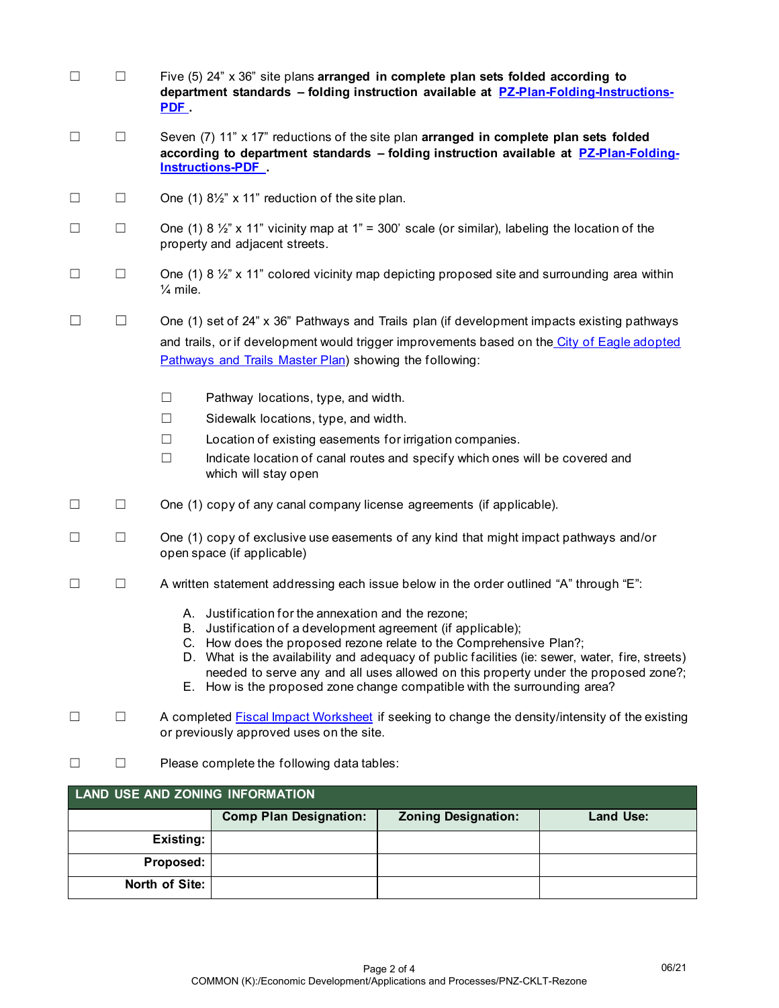| $\Box$ | $\Box$                                 | Five (5) 24" x 36" site plans arranged in complete plan sets folded according to<br>department standards - folding instruction available at PZ-Plan-Folding-Instructions-                                                                                                                                                                                                                                                                                       |  |  |  |  |  |
|--------|----------------------------------------|-----------------------------------------------------------------------------------------------------------------------------------------------------------------------------------------------------------------------------------------------------------------------------------------------------------------------------------------------------------------------------------------------------------------------------------------------------------------|--|--|--|--|--|
| $\Box$ | $\Box$                                 | Seven (7) 11" x 17" reductions of the site plan arranged in complete plan sets folded<br>according to department standards - folding instruction available at PZ-Plan-Folding-<br><b>Instructions-PDF</b>                                                                                                                                                                                                                                                       |  |  |  |  |  |
| ப      | ப                                      | One (1) $8\frac{1}{2}$ " x 11" reduction of the site plan.                                                                                                                                                                                                                                                                                                                                                                                                      |  |  |  |  |  |
| $\Box$ | $\Box$                                 | One (1) 8 $\frac{1}{2}$ " x 11" vicinity map at 1" = 300' scale (or similar), labeling the location of the<br>property and adjacent streets.                                                                                                                                                                                                                                                                                                                    |  |  |  |  |  |
| $\Box$ | $\Box$                                 | One (1) 8 $\frac{1}{2}$ " x 11" colored vicinity map depicting proposed site and surrounding area within<br>$\frac{1}{4}$ mile.                                                                                                                                                                                                                                                                                                                                 |  |  |  |  |  |
| ш      | $\Box$                                 | One (1) set of 24" x 36" Pathways and Trails plan (if development impacts existing pathways<br>and trails, or if development would trigger improvements based on the City of Eagle adopted<br>Pathways and Trails Master Plan) showing the following:                                                                                                                                                                                                           |  |  |  |  |  |
|        |                                        | $\Box$<br>Pathway locations, type, and width.                                                                                                                                                                                                                                                                                                                                                                                                                   |  |  |  |  |  |
|        |                                        | $\Box$<br>Sidewalk locations, type, and width.                                                                                                                                                                                                                                                                                                                                                                                                                  |  |  |  |  |  |
|        |                                        | $\Box$<br>Location of existing easements for irrigation companies.                                                                                                                                                                                                                                                                                                                                                                                              |  |  |  |  |  |
|        |                                        | $\Box$<br>Indicate location of canal routes and specify which ones will be covered and<br>which will stay open                                                                                                                                                                                                                                                                                                                                                  |  |  |  |  |  |
| $\Box$ | $\Box$                                 | One (1) copy of any canal company license agreements (if applicable).                                                                                                                                                                                                                                                                                                                                                                                           |  |  |  |  |  |
| $\Box$ | $\Box$                                 | One (1) copy of exclusive use easements of any kind that might impact pathways and/or<br>open space (if applicable)                                                                                                                                                                                                                                                                                                                                             |  |  |  |  |  |
| ш      | $\Box$                                 | A written statement addressing each issue below in the order outlined "A" through "E":                                                                                                                                                                                                                                                                                                                                                                          |  |  |  |  |  |
|        |                                        | A. Justification for the annexation and the rezone;<br>B. Justification of a development agreement (if applicable);<br>C. How does the proposed rezone relate to the Comprehensive Plan?;<br>D. What is the availability and adequacy of public facilities (ie: sewer, water, fire, streets)<br>needed to serve any and all uses allowed on this property under the proposed zone?;<br>E. How is the proposed zone change compatible with the surrounding area? |  |  |  |  |  |
|        | ப                                      | A completed <b>Fiscal Impact Worksheet</b> if seeking to change the density/intensity of the existing<br>or previously approved uses on the site.                                                                                                                                                                                                                                                                                                               |  |  |  |  |  |
|        | $\mathsf{L}$                           | Please complete the following data tables:                                                                                                                                                                                                                                                                                                                                                                                                                      |  |  |  |  |  |
|        | <b>LAND USE AND ZONING INFORMATION</b> |                                                                                                                                                                                                                                                                                                                                                                                                                                                                 |  |  |  |  |  |
|        |                                        | <b>Comp Plan Designation:</b><br><b>Zoning Designation:</b><br><b>Land Use:</b>                                                                                                                                                                                                                                                                                                                                                                                 |  |  |  |  |  |
|        |                                        | <b>Existing:</b>                                                                                                                                                                                                                                                                                                                                                                                                                                                |  |  |  |  |  |

**Proposed: North of Site:**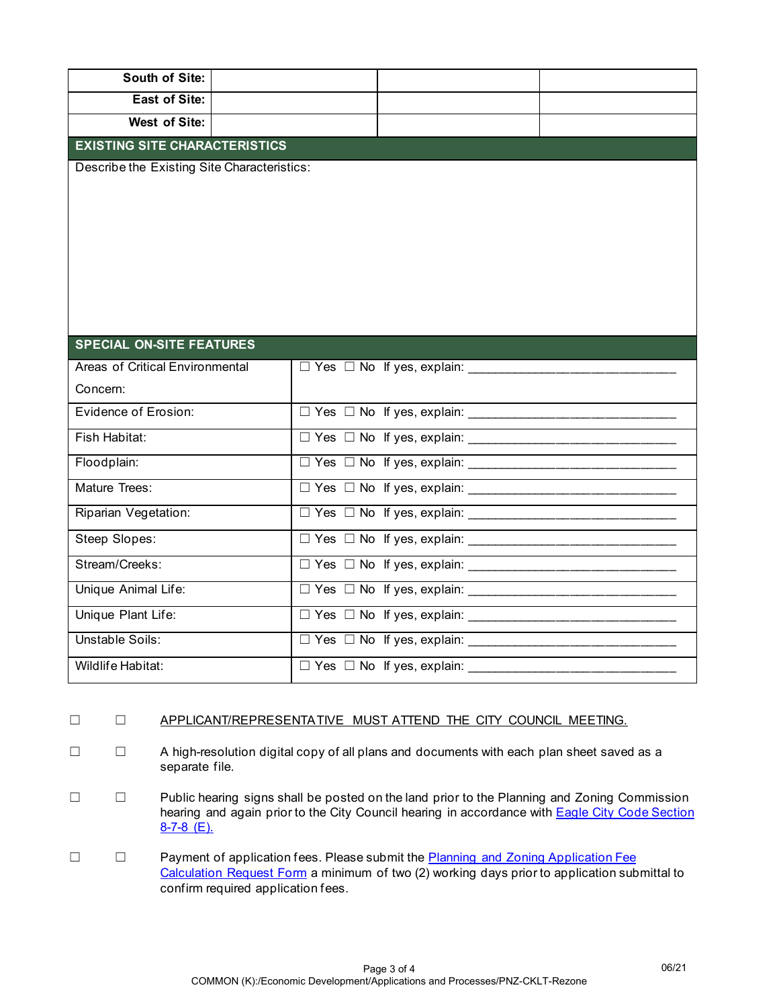| South of Site:                              |                                              |  |  |  |  |  |  |  |
|---------------------------------------------|----------------------------------------------|--|--|--|--|--|--|--|
| <b>East of Site:</b>                        |                                              |  |  |  |  |  |  |  |
| West of Site:                               |                                              |  |  |  |  |  |  |  |
| <b>EXISTING SITE CHARACTERISTICS</b>        |                                              |  |  |  |  |  |  |  |
| Describe the Existing Site Characteristics: |                                              |  |  |  |  |  |  |  |
|                                             |                                              |  |  |  |  |  |  |  |
|                                             |                                              |  |  |  |  |  |  |  |
|                                             |                                              |  |  |  |  |  |  |  |
|                                             |                                              |  |  |  |  |  |  |  |
|                                             |                                              |  |  |  |  |  |  |  |
|                                             |                                              |  |  |  |  |  |  |  |
| <b>SPECIAL ON-SITE FEATURES</b>             |                                              |  |  |  |  |  |  |  |
| Areas of Critical Environmental             | $\Box$ Yes $\Box$ No If yes, explain: $\Box$ |  |  |  |  |  |  |  |
| Concern:                                    | <u> 1989 - Johann Barbara, martin d</u>      |  |  |  |  |  |  |  |
| Evidence of Erosion:                        |                                              |  |  |  |  |  |  |  |
| Fish Habitat:                               | $\Box$ Yes $\Box$ No If yes, explain:        |  |  |  |  |  |  |  |
| Floodplain:                                 | $\Box$ Yes $\Box$ No If yes, explain:        |  |  |  |  |  |  |  |
| Mature Trees:                               |                                              |  |  |  |  |  |  |  |
| Riparian Vegetation:                        | $\Box$ Yes $\Box$ No If yes, explain:        |  |  |  |  |  |  |  |
| Steep Slopes:                               |                                              |  |  |  |  |  |  |  |
| Stream/Creeks:                              |                                              |  |  |  |  |  |  |  |
| Unique Animal Life:                         |                                              |  |  |  |  |  |  |  |
| Unique Plant Life:                          |                                              |  |  |  |  |  |  |  |
| Unstable Soils:                             |                                              |  |  |  |  |  |  |  |
| Wildlife Habitat:                           | $\Box$ Yes $\Box$ No If yes, explain:        |  |  |  |  |  |  |  |

## ☐ ☐ APPLICANT/REPRESENTATIVE MUST ATTEND THE CITY COUNCIL MEETING.

- ☐ ☐ A high-resolution digital copy of all plans and documents with each plan sheet saved as a separate file.
- ☐ ☐ Public hearing signs shall be posted on the land prior to the Planning and Zoning Commission hearing and again prior to the City Council hearing in accordance with **Eagle City Code Section** [8-7-8 \(E\).](https://codelibrary.amlegal.com/codes/eagleid/latest/eagle_id/0-0-0-4335)
- □ □ Payment of application fees. Please submit the **Planning and Zoning Application Fee** [Calculation Request Form](https://lf.cityofeagle.org/Forms/P-Z-Application-Fee-Request) a minimum of two (2) working days prior to application submittal to confirm required application fees.